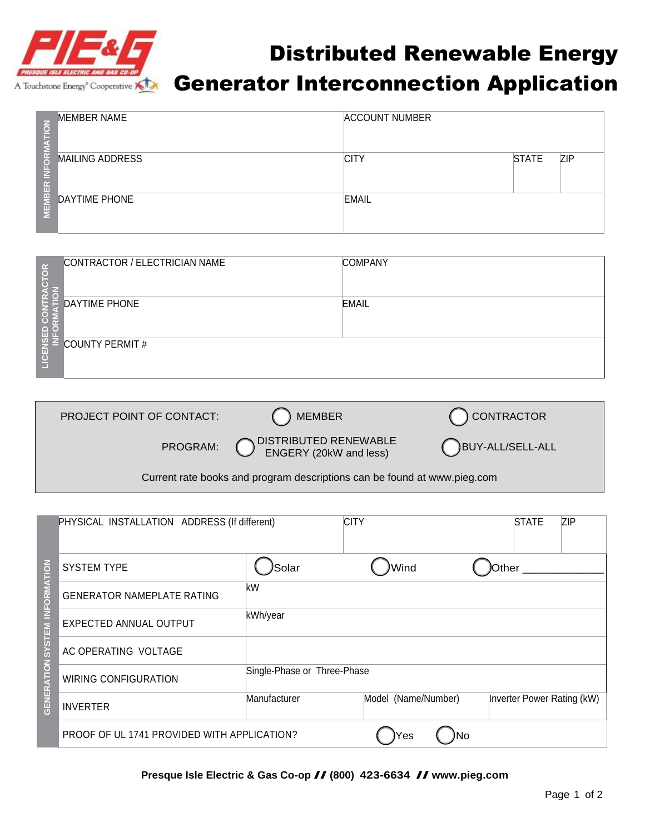

## Distributed Renewable Energy A Touchstone Energy<sup>\*</sup> Cooperative **XD** Generator Interconnection Application

| $\overline{C}$                 | <b>MEMBER NAME</b>     | <b>ACCOUNT NUMBER</b> |              |            |
|--------------------------------|------------------------|-----------------------|--------------|------------|
| Ιg<br>п.<br>V.<br>$\mathbf{f}$ | <b>MAILING ADDRESS</b> | <b>CITY</b>           | <b>STATE</b> | <b>ZIP</b> |
| ë<br>F                         | DAYTIME PHONE          | <b>EMAIL</b>          |              |            |

| $\tilde{6}$ | CONTRACTOR / ELECTRICIAN NAME | <b>COMPANY</b> |
|-------------|-------------------------------|----------------|
|             | <b>DAYTIME PHONE</b>          | <b>EMAIL</b>   |
| LICENS      | COUNTY PERMIT#                |                |

| PROJECT POINT OF CONTACT:                                                | ) MEMBER                                                         | C CONTRACTOR     |  |  |
|--------------------------------------------------------------------------|------------------------------------------------------------------|------------------|--|--|
|                                                                          | PROGRAM: <b>ODISTRIBUTED RENEWABLE</b><br>ENGERY (20kW and less) | BUY-ALL/SELL-ALL |  |  |
| Current rate books and program descriptions can be found at www.pieg.com |                                                                  |                  |  |  |

| <b>ATION</b><br><b>ORM</b><br>$\frac{v}{2}$<br><b>GENERATION SYSTEM</b> | PHYSICAL INSTALLATION ADDRESS (If different) |                             | <b>CITY</b>         |       | <b>STATE</b>               | <b>ZIP</b> |
|-------------------------------------------------------------------------|----------------------------------------------|-----------------------------|---------------------|-------|----------------------------|------------|
|                                                                         | <b>SYSTEM TYPE</b>                           | )Solar                      | Wind                | Other |                            |            |
|                                                                         | <b>GENERATOR NAMEPLATE RATING</b>            | kW                          |                     |       |                            |            |
|                                                                         | EXPECTED ANNUAL OUTPUT                       | kWh/year                    |                     |       |                            |            |
|                                                                         | AC OPERATING VOLTAGE                         |                             |                     |       |                            |            |
|                                                                         | <b>WIRING CONFIGURATION</b>                  | Single-Phase or Three-Phase |                     |       |                            |            |
|                                                                         | <b>INVERTER</b>                              | Manufacturer                | Model (Name/Number) |       | Inverter Power Rating (kW) |            |
|                                                                         | PROOF OF UL 1741 PROVIDED WITH APPLICATION?  |                             | lYes                | Νo    |                            |            |